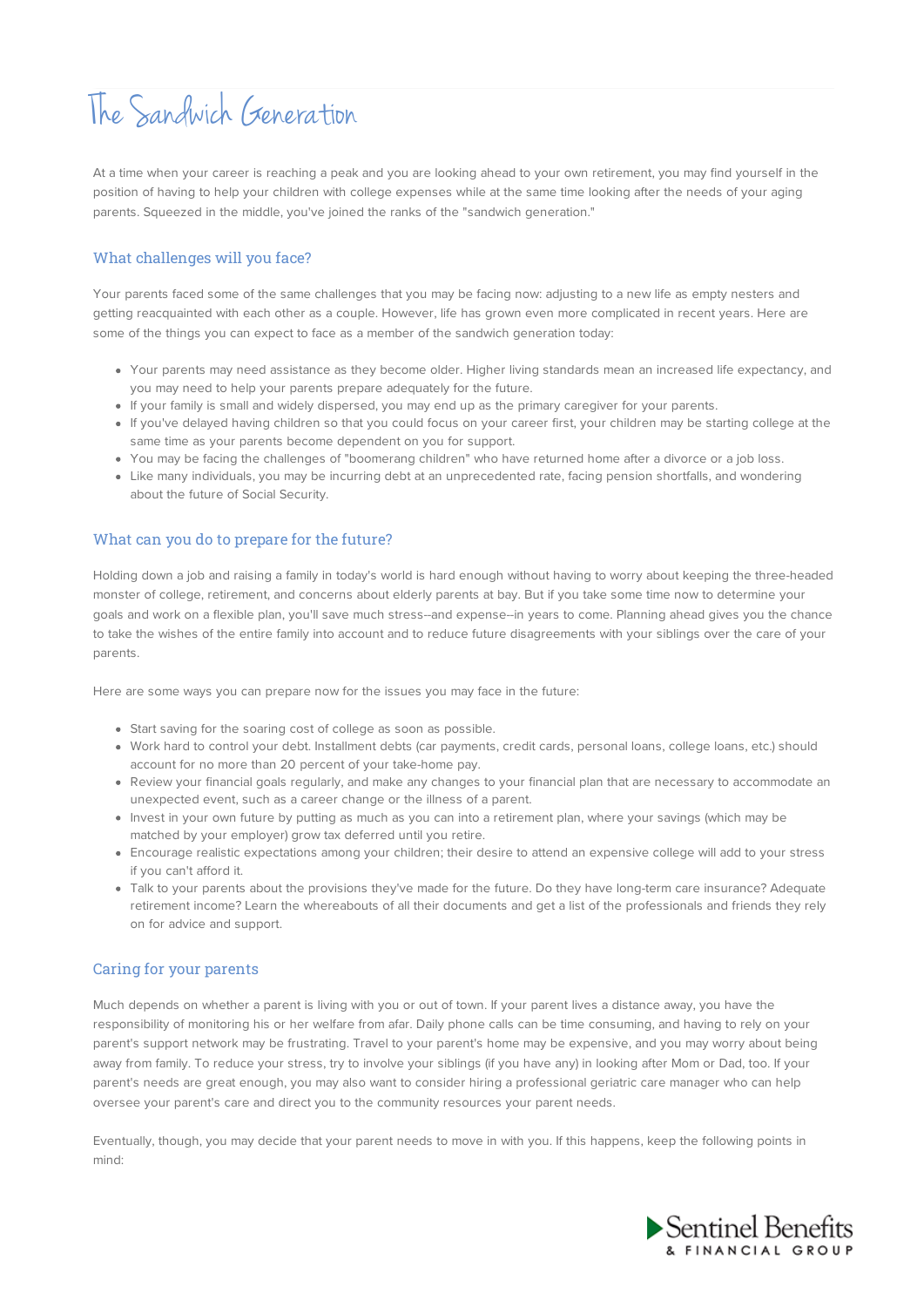# The Sandwich Generation

At a time when your career is reaching a peak and you are looking ahead to your own retirement, you may find yourself in the position of having to help your children with college expenses while at the same time looking after the needs of your aging parents. Squeezed in the middle, you've joined the ranks of the "sandwich generation."

## What challenges will you face?

Your parents faced some of the same challenges that you may be facing now: adjusting to a new life as empty nesters and getting reacquainted with each other as a couple. However, life has grown even more complicated in recent years. Here are some of the things you can expect to face as a member of the sandwich generation today:

- Your parents may need assistance as they become older. Higher living standards mean an increased life expectancy, and you may need to help your parents prepare adequately for the future.
- If your family is small and widely dispersed, you may end up as the primary caregiver for your parents.
- If you've delayed having children so that you could focus on your career first, your children may be starting college at the same time as your parents become dependent on you for support.
- You may be facing the challenges of "boomerang children" who have returned home after a divorce or a job loss.
- Like many individuals, you may be incurring debt at an unprecedented rate, facing pension shortfalls, and wondering about the future of Social Security.

#### What can you do to prepare for the future?

Holding down a job and raising a family in today's world is hard enough without having to worry about keeping the three-headed monster of college, retirement, and concerns about elderly parents at bay. But if you take some time now to determine your goals and work on a flexible plan, you'll save much stress--and expense--in years to come. Planning ahead gives you the chance to take the wishes of the entire family into account and to reduce future disagreements with your siblings over the care of your parents.

Here are some ways you can prepare now for the issues you may face in the future:

- Start saving for the soaring cost of college as soon as possible.
- Work hard to control your debt. Installment debts (car payments, credit cards, personal loans, college loans, etc.) should account for no more than 20 percent of your take-home pay.
- Review your financial goals regularly, and make any changes to your financial plan that are necessary to accommodate an unexpected event, such as a career change or the illness of a parent.
- Invest in your own future by putting as much as you can into a retirement plan, where your savings (which may be matched by your employer) grow tax deferred until you retire.
- Encourage realistic expectations among your children; their desire to attend an expensive college will add to your stress if you can't afford it.
- Talk to your parents about the provisions they've made for the future. Do they have long-term care insurance? Adequate retirement income? Learn the whereabouts of all their documents and get a list of the professionals and friends they rely on for advice and support.

### Caring for your parents

Much depends on whether a parent is living with you or out of town. If your parent lives a distance away, you have the responsibility of monitoring his or her welfare from afar. Daily phone calls can be time consuming, and having to rely on your parent's support network may be frustrating. Travel to your parent's home may be expensive, and you may worry about being away from family. To reduce your stress, try to involve your siblings (if you have any) in looking after Mom or Dad, too. If your parent's needs are great enough, you may also want to consider hiring a professional geriatric care manager who can help oversee your parent's care and direct you to the community resources your parent needs.

Eventually, though, you may decide that your parent needs to move in with you. If this happens, keep the following points in mind: